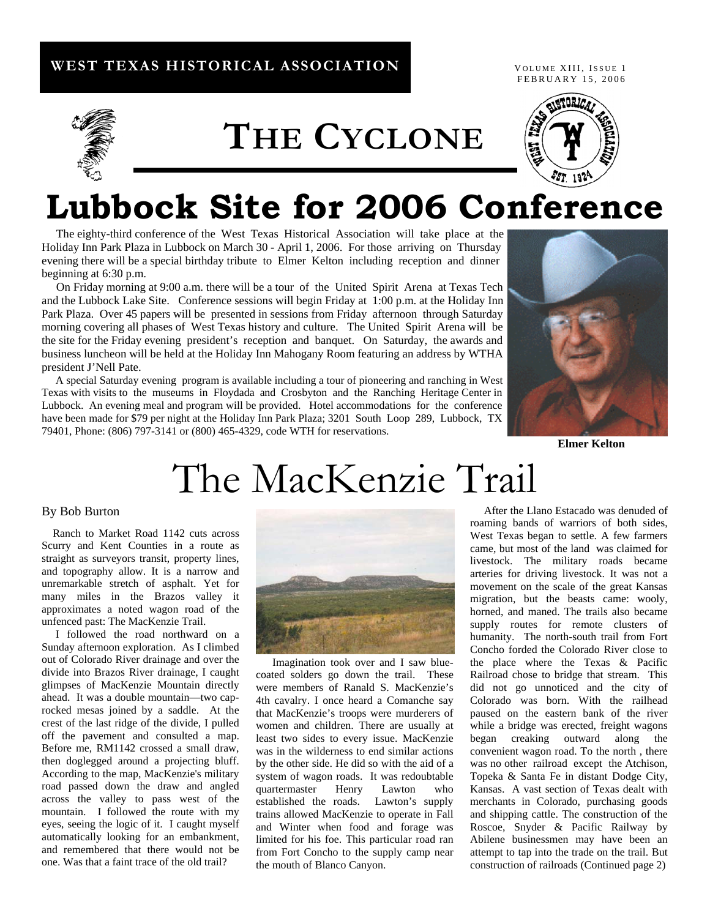#### **WEST TEXAS HISTORICAL ASSOCIATION**

FEBRUARY 15, 2006 VOLUME XIII, ISSUE 1



**THE CYCLONE**



## **Lubbock Site for 2006 Conference**

 The eighty-third conference of the West Texas Historical Association will take place at the Holiday Inn Park Plaza in Lubbock on March 30 - April 1, 2006. For those arriving on Thursday evening there will be a special birthday tribute to Elmer Kelton including reception and dinner beginning at 6:30 p.m.

 On Friday morning at 9:00 a.m. there will be a tour of the United Spirit Arena at Texas Tech and the Lubbock Lake Site. Conference sessions will begin Friday at 1:00 p.m. at the Holiday Inn Park Plaza. Over 45 papers will be presented in sessions from Friday afternoon through Saturday morning covering all phases of West Texas history and culture. The United Spirit Arena will be the site for the Friday evening president's reception and banquet. On Saturday, the awards and business luncheon will be held at the Holiday Inn Mahogany Room featuring an address by WTHA president J'Nell Pate.

 A special Saturday evening program is available including a tour of pioneering and ranching in West Texas with visits to the museums in Floydada and Crosbyton and the Ranching Heritage Center in Lubbock. An evening meal and program will be provided. Hotel accommodations for the conference have been made for \$79 per night at the Holiday Inn Park Plaza; 3201 South Loop 289, Lubbock, TX 79401, Phone: (806) 797-3141 or (800) 465-4329, code WTH for reservations.



*Elmer Kelton* 

# The MacKenzie Trail

#### By Bob Burton

Ranch to Market Road 1142 cuts across Scurry and Kent Counties in a route as straight as surveyors transit, property lines, and topography allow. It is a narrow and unremarkable stretch of asphalt. Yet for many miles in the Brazos valley it approximates a noted wagon road of the unfenced past: The MacKenzie Trail.

I followed the road northward on a Sunday afternoon exploration. As I climbed out of Colorado River drainage and over the divide into Brazos River drainage, I caught glimpses of MacKenzie Mountain directly ahead. It was a double mountain—two caprocked mesas joined by a saddle. At the crest of the last ridge of the divide, I pulled off the pavement and consulted a map. Before me, RM1142 crossed a small draw, then doglegged around a projecting bluff. According to the map, MacKenzie's military road passed down the draw and angled across the valley to pass west of the mountain. I followed the route with my eyes, seeing the logic of it. I caught myself automatically looking for an embankment, and remembered that there would not be one. Was that a faint trace of the old trail?



Imagination took over and I saw bluecoated solders go down the trail. These were members of Ranald S. MacKenzie's 4th cavalry. I once heard a Comanche say that MacKenzie's troops were murderers of women and children. There are usually at least two sides to every issue. MacKenzie was in the wilderness to end similar actions by the other side. He did so with the aid of a system of wagon roads. It was redoubtable quartermaster Henry Lawton who established the roads. Lawton's supply trains allowed MacKenzie to operate in Fall and Winter when food and forage was limited for his foe. This particular road ran from Fort Concho to the supply camp near the mouth of Blanco Canyon.

 After the Llano Estacado was denuded of roaming bands of warriors of both sides, West Texas began to settle. A few farmers came, but most of the land was claimed for livestock. The military roads became arteries for driving livestock. It was not a movement on the scale of the great Kansas migration, but the beasts came: wooly, horned, and maned. The trails also became supply routes for remote clusters of humanity. The north-south trail from Fort Concho forded the Colorado River close to the place where the Texas & Pacific Railroad chose to bridge that stream. This did not go unnoticed and the city of Colorado was born. With the railhead paused on the eastern bank of the river while a bridge was erected, freight wagons began creaking outward along the convenient wagon road. To the north , there was no other railroad except the Atchison, Topeka & Santa Fe in distant Dodge City, Kansas. A vast section of Texas dealt with merchants in Colorado, purchasing goods and shipping cattle. The construction of the Roscoe, Snyder & Pacific Railway by Abilene businessmen may have been an attempt to tap into the trade on the trail. But construction of railroads (Continued page 2)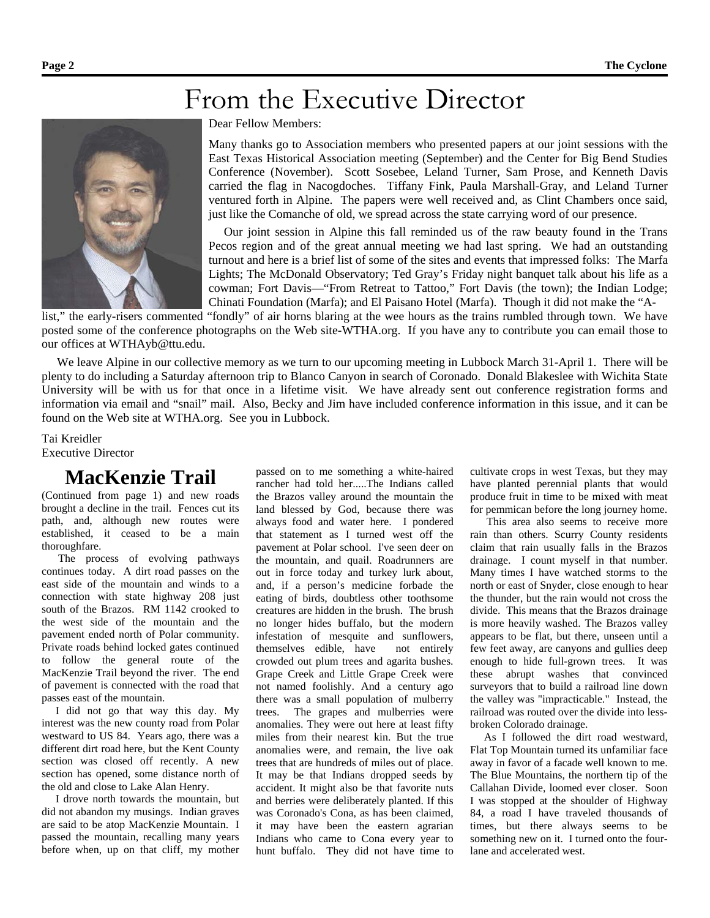## From the Executive Director



#### Dear Fellow Members:

Many thanks go to Association members who presented papers at our joint sessions with the East Texas Historical Association meeting (September) and the Center for Big Bend Studies Conference (November). Scott Sosebee, Leland Turner, Sam Prose, and Kenneth Davis carried the flag in Nacogdoches. Tiffany Fink, Paula Marshall-Gray, and Leland Turner ventured forth in Alpine. The papers were well received and, as Clint Chambers once said, just like the Comanche of old, we spread across the state carrying word of our presence.

Our joint session in Alpine this fall reminded us of the raw beauty found in the Trans Pecos region and of the great annual meeting we had last spring. We had an outstanding turnout and here is a brief list of some of the sites and events that impressed folks: The Marfa Lights; The McDonald Observatory; Ted Gray's Friday night banquet talk about his life as a cowman; Fort Davis—"From Retreat to Tattoo," Fort Davis (the town); the Indian Lodge; Chinati Foundation (Marfa); and El Paisano Hotel (Marfa). Though it did not make the "A-

list," the early-risers commented "fondly" of air horns blaring at the wee hours as the trains rumbled through town. We have posted some of the conference photographs on the Web site-WTHA.org. If you have any to contribute you can email those to our offices at WTHAyb@ttu.edu.

We leave Alpine in our collective memory as we turn to our upcoming meeting in Lubbock March 31-April 1. There will be plenty to do including a Saturday afternoon trip to Blanco Canyon in search of Coronado. Donald Blakeslee with Wichita State University will be with us for that once in a lifetime visit. We have already sent out conference registration forms and information via email and "snail" mail. Also, Becky and Jim have included conference information in this issue, and it can be found on the Web site at WTHA.org. See you in Lubbock.

Tai Kreidler Executive Director

### **MacKenzie Trail**

(Continued from page 1) and new roads brought a decline in the trail. Fences cut its path, and, although new routes were established, it ceased to be a main thoroughfare.

 The process of evolving pathways continues today. A dirt road passes on the east side of the mountain and winds to a connection with state highway 208 just south of the Brazos. RM 1142 crooked to the west side of the mountain and the pavement ended north of Polar community. Private roads behind locked gates continued to follow the general route of the MacKenzie Trail beyond the river. The end of pavement is connected with the road that passes east of the mountain.

I did not go that way this day. My interest was the new county road from Polar westward to US 84. Years ago, there was a different dirt road here, but the Kent County section was closed off recently. A new section has opened, some distance north of the old and close to Lake Alan Henry.

I drove north towards the mountain, but did not abandon my musings. Indian graves are said to be atop MacKenzie Mountain. I passed the mountain, recalling many years before when, up on that cliff, my mother passed on to me something a white-haired rancher had told her.....The Indians called the Brazos valley around the mountain the land blessed by God, because there was always food and water here. I pondered that statement as I turned west off the pavement at Polar school. I've seen deer on the mountain, and quail. Roadrunners are out in force today and turkey lurk about, and, if a person's medicine forbade the eating of birds, doubtless other toothsome creatures are hidden in the brush. The brush no longer hides buffalo, but the modern infestation of mesquite and sunflowers, themselves edible, have not entirely crowded out plum trees and agarita bushes. Grape Creek and Little Grape Creek were not named foolishly. And a century ago there was a small population of mulberry trees. The grapes and mulberries were anomalies. They were out here at least fifty miles from their nearest kin. But the true anomalies were, and remain, the live oak trees that are hundreds of miles out of place. It may be that Indians dropped seeds by accident. It might also be that favorite nuts and berries were deliberately planted. If this was Coronado's Cona, as has been claimed, it may have been the eastern agrarian Indians who came to Cona every year to hunt buffalo. They did not have time to

cultivate crops in west Texas, but they may have planted perennial plants that would produce fruit in time to be mixed with meat for pemmican before the long journey home.

This area also seems to receive more rain than others. Scurry County residents claim that rain usually falls in the Brazos drainage. I count myself in that number. Many times I have watched storms to the north or east of Snyder, close enough to hear the thunder, but the rain would not cross the divide. This means that the Brazos drainage is more heavily washed. The Brazos valley appears to be flat, but there, unseen until a few feet away, are canyons and gullies deep enough to hide full-grown trees. It was these abrupt washes that convinced surveyors that to build a railroad line down the valley was "impracticable." Instead, the railroad was routed over the divide into lessbroken Colorado drainage.

As I followed the dirt road westward, Flat Top Mountain turned its unfamiliar face away in favor of a facade well known to me. The Blue Mountains, the northern tip of the Callahan Divide, loomed ever closer. Soon I was stopped at the shoulder of Highway 84, a road I have traveled thousands of times, but there always seems to be something new on it. I turned onto the fourlane and accelerated west.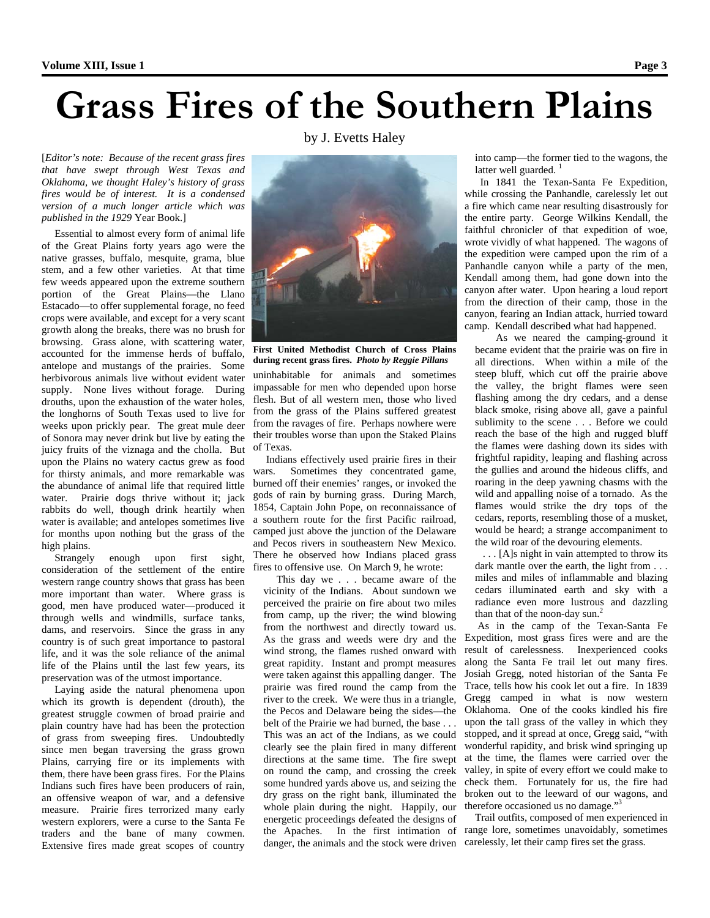## **Grass Fires of the Southern Plains**

by J. Evetts Haley

[*Editor's note: Because of the recent grass fires that have swept through West Texas and Oklahoma, we thought Haley's history of grass fires would be of interest. It is a condensed version of a much longer article which was published in the 1929* Year Book.]

Essential to almost every form of animal life of the Great Plains forty years ago were the native grasses, buffalo, mesquite, grama, blue stem, and a few other varieties. At that time few weeds appeared upon the extreme southern portion of the Great Plains—the Llano Estacado—to offer supplemental forage, no feed crops were available, and except for a very scant growth along the breaks, there was no brush for browsing. Grass alone, with scattering water, accounted for the immense herds of buffalo, antelope and mustangs of the prairies. Some herbivorous animals live without evident water supply. None lives without forage. During drouths, upon the exhaustion of the water holes, the longhorns of South Texas used to live for weeks upon prickly pear. The great mule deer of Sonora may never drink but live by eating the juicy fruits of the viznaga and the cholla. But upon the Plains no watery cactus grew as food for thirsty animals, and more remarkable was the abundance of animal life that required little water. Prairie dogs thrive without it; jack rabbits do well, though drink heartily when water is available; and antelopes sometimes live for months upon nothing but the grass of the high plains.<br>Strangely

enough upon first sight, consideration of the settlement of the entire western range country shows that grass has been more important than water. Where grass is good, men have produced water—produced it through wells and windmills, surface tanks, dams, and reservoirs. Since the grass in any country is of such great importance to pastoral life, and it was the sole reliance of the animal life of the Plains until the last few years, its preservation was of the utmost importance.

Laying aside the natural phenomena upon which its growth is dependent (drouth), the greatest struggle cowmen of broad prairie and plain country have had has been the protection of grass from sweeping fires. Undoubtedly since men began traversing the grass grown Plains, carrying fire or its implements with them, there have been grass fires. For the Plains Indians such fires have been producers of rain, an offensive weapon of war, and a defensive measure. Prairie fires terrorized many early western explorers, were a curse to the Santa Fe traders and the bane of many cowmen. Extensive fires made great scopes of country



**First United Methodist Church of Cross Plains during recent grass fires.** *Photo by Reggie Pillans*

uninhabitable for animals and sometimes impassable for men who depended upon horse flesh. But of all western men, those who lived from the grass of the Plains suffered greatest from the ravages of fire. Perhaps nowhere were their troubles worse than upon the Staked Plains of Texas.

Indians effectively used prairie fires in their wars. Sometimes they concentrated game, burned off their enemies' ranges, or invoked the gods of rain by burning grass. During March, 1854, Captain John Pope, on reconnaissance of a southern route for the first Pacific railroad, camped just above the junction of the Delaware and Pecos rivers in southeastern New Mexico. There he observed how Indians placed grass fires to offensive use. On March 9, he wrote:

This day we . . . became aware of the vicinity of the Indians. About sundown we perceived the prairie on fire about two miles from camp, up the river; the wind blowing from the northwest and directly toward us. As the grass and weeds were dry and the wind strong, the flames rushed onward with great rapidity. Instant and prompt measures were taken against this appalling danger. The prairie was fired round the camp from the river to the creek. We were thus in a triangle, the Pecos and Delaware being the sides—the belt of the Prairie we had burned, the base . . . This was an act of the Indians, as we could clearly see the plain fired in many different directions at the same time. The fire swept on round the camp, and crossing the creek some hundred yards above us, and seizing the dry grass on the right bank, illuminated the whole plain during the night. Happily, our energetic proceedings defeated the designs of danger, the animals and the stock were driven carelessly, let their camp fires set the grass.

into camp—the former tied to the wagons, the latter well guarded. $<sup>1</sup>$ </sup>

 In 1841 the Texan-Santa Fe Expedition, while crossing the Panhandle, carelessly let out a fire which came near resulting disastrously for the entire party. George Wilkins Kendall, the faithful chronicler of that expedition of woe, wrote vividly of what happened. The wagons of the expedition were camped upon the rim of a Panhandle canyon while a party of the men, Kendall among them, had gone down into the canyon after water. Upon hearing a loud report from the direction of their camp, those in the canyon, fearing an Indian attack, hurried toward camp. Kendall described what had happened.

As we neared the camping-ground it became evident that the prairie was on fire in all directions. When within a mile of the steep bluff, which cut off the prairie above the valley, the bright flames were seen flashing among the dry cedars, and a dense black smoke, rising above all, gave a painful sublimity to the scene . . . Before we could reach the base of the high and rugged bluff the flames were dashing down its sides with frightful rapidity, leaping and flashing across the gullies and around the hideous cliffs, and roaring in the deep yawning chasms with the wild and appalling noise of a tornado. As the flames would strike the dry tops of the cedars, reports, resembling those of a musket, would be heard; a strange accompaniment to the wild roar of the devouring elements.

. . . [A]s night in vain attempted to throw its dark mantle over the earth, the light from ... miles and miles of inflammable and blazing cedars illuminated earth and sky with a radiance even more lustrous and dazzling than that of the noon-day sun.<sup>2</sup>

As in the camp of the Texan-Santa Fe Expedition, most grass fires were and are the result of carelessness. Inexperienced cooks along the Santa Fe trail let out many fires. Josiah Gregg, noted historian of the Santa Fe Trace, tells how his cook let out a fire. In 1839 Gregg camped in what is now western Oklahoma. One of the cooks kindled his fire upon the tall grass of the valley in which they stopped, and it spread at once, Gregg said, "with wonderful rapidity, and brisk wind springing up at the time, the flames were carried over the valley, in spite of every effort we could make to check them. Fortunately for us, the fire had broken out to the leeward of our wagons, and therefore occasioned us no damage."<sup>3</sup>

the Apaches. In the first intimation of range lore, sometimes unavoidably, sometimes Trail outfits, composed of men experienced in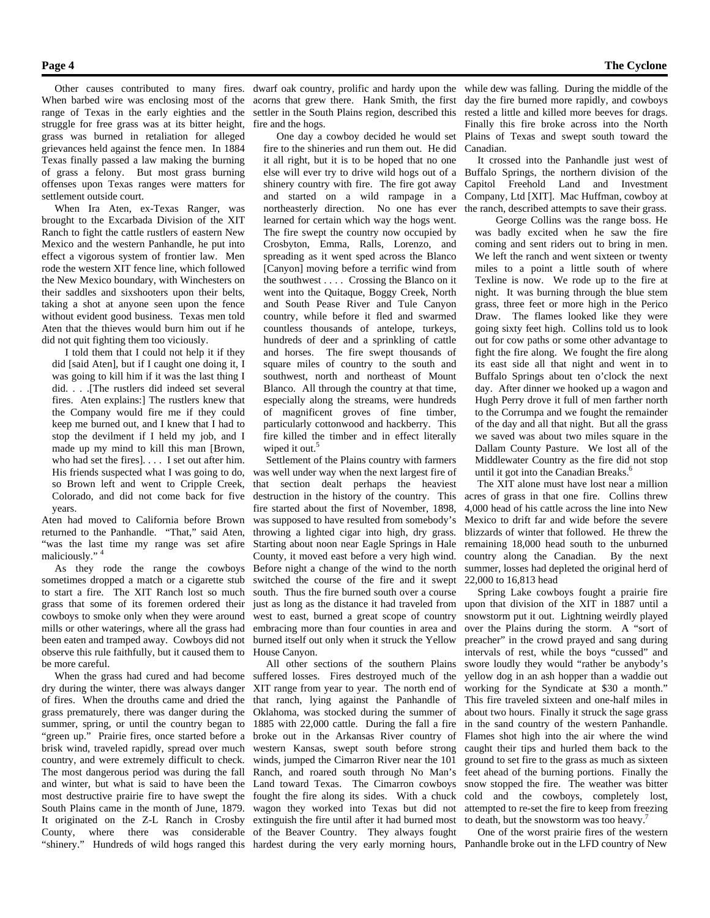Other causes contributed to many fires. When barbed wire was enclosing most of the range of Texas in the early eighties and the struggle for free grass was at its bitter height, grass was burned in retaliation for alleged grievances held against the fence men. In 1884 Texas finally passed a law making the burning of grass a felony. But most grass burning offenses upon Texas ranges were matters for settlement outside court.

When Ira Aten, ex-Texas Ranger, was brought to the Excarbada Division of the XIT Ranch to fight the cattle rustlers of eastern New Mexico and the western Panhandle, he put into effect a vigorous system of frontier law. Men rode the western XIT fence line, which followed the New Mexico boundary, with Winchesters on their saddles and sixshooters upon their belts, taking a shot at anyone seen upon the fence without evident good business. Texas men told Aten that the thieves would burn him out if he did not quit fighting them too viciously.

I told them that I could not help it if they did [said Aten], but if I caught one doing it, I was going to kill him if it was the last thing I did. . . .[The rustlers did indeed set several fires. Aten explains:] The rustlers knew that the Company would fire me if they could keep me burned out, and I knew that I had to stop the devilment if I held my job, and I made up my mind to kill this man [Brown, who had set the fires]. . . . I set out after him. His friends suspected what I was going to do, so Brown left and went to Cripple Creek, Colorado, and did not come back for five years.

Aten had moved to California before Brown returned to the Panhandle. "That," said Aten, "was the last time my range was set afire maliciously." <sup>4</sup>

As they rode the range the cowboys sometimes dropped a match or a cigarette stub to start a fire. The XIT Ranch lost so much grass that some of its foremen ordered their cowboys to smoke only when they were around mills or other waterings, where all the grass had been eaten and tramped away. Cowboys did not observe this rule faithfully, but it caused them to be more careful.

When the grass had cured and had become dry during the winter, there was always danger of fires. When the drouths came and dried the grass prematurely, there was danger during the summer, spring, or until the country began to "green up." Prairie fires, once started before a broke out in the Arkansas River country of brisk wind, traveled rapidly, spread over much country, and were extremely difficult to check. The most dangerous period was during the fall and winter, but what is said to have been the most destructive prairie fire to have swept the South Plains came in the month of June, 1879. It originated on the Z-L Ranch in Crosby County, where there was considerable of the Beaver Country. They always fought "shinery." Hundreds of wild hogs ranged this hardest during the very early morning hours, Panhandle broke out in the LFD country of New

dwarf oak country, prolific and hardy upon the while dew was falling. During the middle of the acorns that grew there. Hank Smith, the first day the fire burned more rapidly, and cowboys settler in the South Plains region, described this rested a little and killed more beeves for drags. fire and the hogs.

One day a cowboy decided he would set fire to the shineries and run them out. He did it all right, but it is to be hoped that no one else will ever try to drive wild hogs out of a shinery country with fire. The fire got away and started on a wild rampage in a northeasterly direction. No one has ever learned for certain which way the hogs went. The fire swept the country now occupied by Crosbyton, Emma, Ralls, Lorenzo, and spreading as it went sped across the Blanco [Canyon] moving before a terrific wind from the southwest . . . . Crossing the Blanco on it went into the Quitaque, Boggy Creek, North and South Pease River and Tule Canyon country, while before it fled and swarmed countless thousands of antelope, turkeys, hundreds of deer and a sprinkling of cattle and horses. The fire swept thousands of square miles of country to the south and southwest, north and northeast of Mount Blanco. All through the country at that time, especially along the streams, were hundreds of magnificent groves of fine timber, particularly cottonwood and hackberry. This fire killed the timber and in effect literally wiped it out.<sup>5</sup>

Settlement of the Plains country with farmers was well under way when the next largest fire of that section dealt perhaps the heaviest destruction in the history of the country. This fire started about the first of November, 1898, was supposed to have resulted from somebody's throwing a lighted cigar into high, dry grass. Starting about noon near Eagle Springs in Hale County, it moved east before a very high wind. Before night a change of the wind to the north switched the course of the fire and it swept south. Thus the fire burned south over a course just as long as the distance it had traveled from west to east, burned a great scope of country embracing more than four counties in area and burned itself out only when it struck the Yellow House Canyon.

All other sections of the southern Plains suffered losses. Fires destroyed much of the XIT range from year to year. The north end of that ranch, lying against the Panhandle of Oklahoma, was stocked during the summer of 1885 with 22,000 cattle. During the fall a fire western Kansas, swept south before strong winds, jumped the Cimarron River near the 101 Ranch, and roared south through No Man's Land toward Texas. The Cimarron cowboys fought the fire along its sides. With a chuck wagon they worked into Texas but did not extinguish the fire until after it had burned most

Finally this fire broke across into the North Plains of Texas and swept south toward the Canadian.

 It crossed into the Panhandle just west of Buffalo Springs, the northern division of the Capitol Freehold Land and Investment Company, Ltd [XIT]. Mac Huffman, cowboy at the ranch, described attempts to save their grass.

George Collins was the range boss. He was badly excited when he saw the fire coming and sent riders out to bring in men. We left the ranch and went sixteen or twenty miles to a point a little south of where Texline is now. We rode up to the fire at night. It was burning through the blue stem grass, three feet or more high in the Perico Draw. The flames looked like they were going sixty feet high. Collins told us to look out for cow paths or some other advantage to fight the fire along. We fought the fire along its east side all that night and went in to Buffalo Springs about ten o'clock the next day. After dinner we hooked up a wagon and Hugh Perry drove it full of men farther north to the Corrumpa and we fought the remainder of the day and all that night. But all the grass we saved was about two miles square in the Dallam County Pasture. We lost all of the Middlewater Country as the fire did not stop until it got into the Canadian Breaks. $<sup>6</sup>$ </sup>

The XIT alone must have lost near a million acres of grass in that one fire. Collins threw 4,000 head of his cattle across the line into New Mexico to drift far and wide before the severe blizzards of winter that followed. He threw the remaining 18,000 head south to the unburned country along the Canadian. By the next summer, losses had depleted the original herd of 22,000 to 16,813 head

Spring Lake cowboys fought a prairie fire upon that division of the XIT in 1887 until a snowstorm put it out. Lightning weirdly played over the Plains during the storm. A "sort of preacher" in the crowd prayed and sang during intervals of rest, while the boys "cussed" and swore loudly they would "rather be anybody's yellow dog in an ash hopper than a waddie out working for the Syndicate at \$30 a month." This fire traveled sixteen and one-half miles in about two hours. Finally it struck the sage grass in the sand country of the western Panhandle. Flames shot high into the air where the wind caught their tips and hurled them back to the ground to set fire to the grass as much as sixteen feet ahead of the burning portions. Finally the snow stopped the fire. The weather was bitter cold and the cowboys, completely lost, attempted to re-set the fire to keep from freezing to death, but the snowstorm was too heavy.<sup>7</sup>

One of the worst prairie fires of the western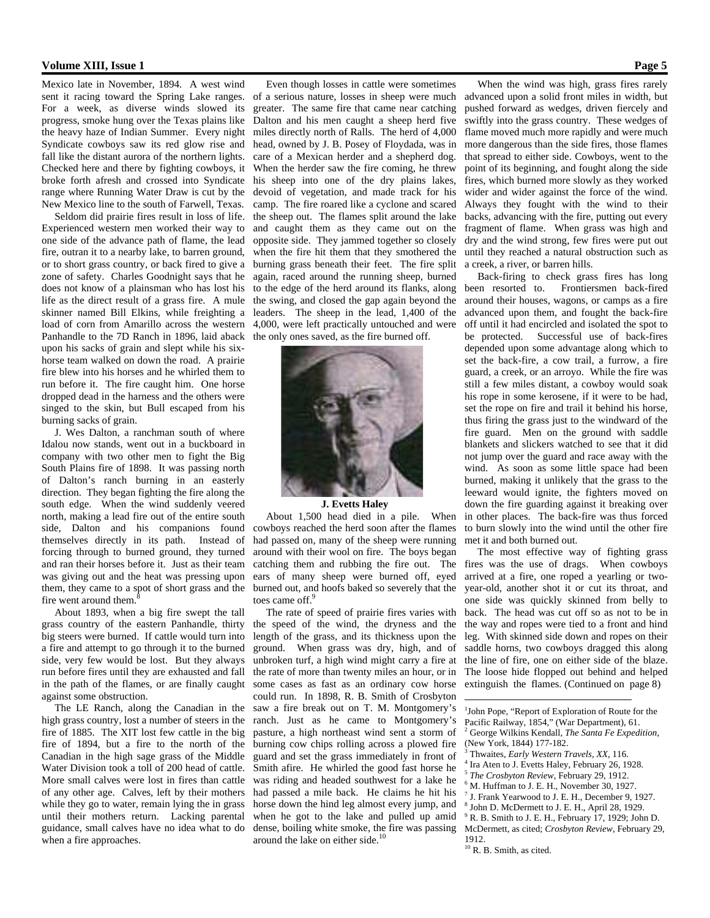#### **Volume XIII, Issue 1 Page 5**

Mexico late in November, 1894. A west wind sent it racing toward the Spring Lake ranges. For a week, as diverse winds slowed its progress, smoke hung over the Texas plains like the heavy haze of Indian Summer. Every night Syndicate cowboys saw its red glow rise and fall like the distant aurora of the northern lights. Checked here and there by fighting cowboys, it broke forth afresh and crossed into Syndicate range where Running Water Draw is cut by the New Mexico line to the south of Farwell, Texas.

Seldom did prairie fires result in loss of life. Experienced western men worked their way to one side of the advance path of flame, the lead fire, outran it to a nearby lake, to barren ground, or to short grass country, or back fired to give a zone of safety. Charles Goodnight says that he does not know of a plainsman who has lost his life as the direct result of a grass fire. A mule skinner named Bill Elkins, while freighting a load of corn from Amarillo across the western Panhandle to the 7D Ranch in 1896, laid aback upon his sacks of grain and slept while his sixhorse team walked on down the road. A prairie fire blew into his horses and he whirled them to run before it. The fire caught him. One horse dropped dead in the harness and the others were singed to the skin, but Bull escaped from his burning sacks of grain.

 J. Wes Dalton, a ranchman south of where Idalou now stands, went out in a buckboard in company with two other men to fight the Big South Plains fire of 1898. It was passing north of Dalton's ranch burning in an easterly direction. They began fighting the fire along the south edge. When the wind suddenly veered north, making a lead fire out of the entire south side, Dalton and his companions found themselves directly in its path. Instead of forcing through to burned ground, they turned and ran their horses before it. Just as their team was giving out and the heat was pressing upon them, they came to a spot of short grass and the fire went around them.<sup>8</sup>

About 1893, when a big fire swept the tall grass country of the eastern Panhandle, thirty big steers were burned. If cattle would turn into a fire and attempt to go through it to the burned side, very few would be lost. But they always run before fires until they are exhausted and fall in the path of the flames, or are finally caught against some obstruction.

The LE Ranch, along the Canadian in the high grass country, lost a number of steers in the fire of 1885. The XIT lost few cattle in the big fire of 1894, but a fire to the north of the Canadian in the high sage grass of the Middle Water Division took a toll of 200 head of cattle. More small calves were lost in fires than cattle of any other age. Calves, left by their mothers while they go to water, remain lying the in grass until their mothers return. Lacking parental guidance, small calves have no idea what to do when a fire approaches.

Even though losses in cattle were sometimes of a serious nature, losses in sheep were much greater. The same fire that came near catching Dalton and his men caught a sheep herd five miles directly north of Ralls. The herd of 4,000 head, owned by J. B. Posey of Floydada, was in care of a Mexican herder and a shepherd dog. When the herder saw the fire coming, he threw his sheep into one of the dry plains lakes, devoid of vegetation, and made track for his camp. The fire roared like a cyclone and scared the sheep out. The flames split around the lake and caught them as they came out on the opposite side. They jammed together so closely when the fire hit them that they smothered the burning grass beneath their feet. The fire split again, raced around the running sheep, burned to the edge of the herd around its flanks, along the swing, and closed the gap again beyond the leaders. The sheep in the lead, 1,400 of the 4,000, were left practically untouched and were the only ones saved, as the fire burned off.



#### **J. Evetts Haley**

About 1,500 head died in a pile. When cowboys reached the herd soon after the flames had passed on, many of the sheep were running around with their wool on fire. The boys began catching them and rubbing the fire out. The ears of many sheep were burned off, eyed burned out, and hoofs baked so severely that the toes came off.<sup>9</sup>

The rate of speed of prairie fires varies with the speed of the wind, the dryness and the length of the grass, and its thickness upon the ground. When grass was dry, high, and of unbroken turf, a high wind might carry a fire at the rate of more than twenty miles an hour, or in some cases as fast as an ordinary cow horse could run. In 1898, R. B. Smith of Crosbyton saw a fire break out on T. M. Montgomery's ranch. Just as he came to Montgomery's pasture, a high northeast wind sent a storm of burning cow chips rolling across a plowed fire guard and set the grass immediately in front of Smith afire. He whirled the good fast horse he was riding and headed southwest for a lake he had passed a mile back. He claims he hit his horse down the hind leg almost every jump, and when he got to the lake and pulled up amid dense, boiling white smoke, the fire was passing around the lake on either side.<sup>1</sup>

 When the wind was high, grass fires rarely advanced upon a solid front miles in width, but pushed forward as wedges, driven fiercely and swiftly into the grass country. These wedges of flame moved much more rapidly and were much more dangerous than the side fires, those flames that spread to either side. Cowboys, went to the point of its beginning, and fought along the side fires, which burned more slowly as they worked wider and wider against the force of the wind. Always they fought with the wind to their backs, advancing with the fire, putting out every fragment of flame. When grass was high and dry and the wind strong, few fires were put out until they reached a natural obstruction such as a creek, a river, or barren hills.

Back-firing to check grass fires has long been resorted to. Frontiersmen back-fired around their houses, wagons, or camps as a fire advanced upon them, and fought the back-fire off until it had encircled and isolated the spot to be protected. Successful use of back-fires depended upon some advantage along which to set the back-fire, a cow trail, a furrow, a fire guard, a creek, or an arroyo. While the fire was still a few miles distant, a cowboy would soak his rope in some kerosene, if it were to be had, set the rope on fire and trail it behind his horse, thus firing the grass just to the windward of the fire guard. Men on the ground with saddle blankets and slickers watched to see that it did not jump over the guard and race away with the wind. As soon as some little space had been burned, making it unlikely that the grass to the leeward would ignite, the fighters moved on down the fire guarding against it breaking over in other places. The back-fire was thus forced to burn slowly into the wind until the other fire met it and both burned out.

The most effective way of fighting grass fires was the use of drags. When cowboys arrived at a fire, one roped a yearling or twoyear-old, another shot it or cut its throat, and one side was quickly skinned from belly to back. The head was cut off so as not to be in the way and ropes were tied to a front and hind leg. With skinned side down and ropes on their saddle horns, two cowboys dragged this along the line of fire, one on either side of the blaze. The loose hide flopped out behind and helped extinguish the flames. (Continued on page 8)

<sup>1</sup>John Pope, "Report of Exploration of Route for the Pacific Railway, 1854," (War Department), 61. 2 George Wilkins Kendall, *The Santa Fe Expedition*, (New York, 1844) 177-182.

- 3 Thwaites, *Early Western Travels, XX*, 116. 4
- Ira Aten to J. Evetts Haley, February 26, 1928.
- <sup>5</sup> *The Crosbyton Review*, February 29, 1912.
- 6 M. Huffman to J. E. H., November 30, 1927.
- 7 J. Frank Yearwood to J. E. H., December 9, 1927.
- 8 John D. McDermett to J. E. H., April 28, 1929.
- 9 R. B. Smith to J. E. H., February 17, 1929; John D. McDermett, as cited; *Crosbyton Review*, February 29, 1912.

<sup>10</sup> R. B. Smith, as cited.

 $\overline{a}$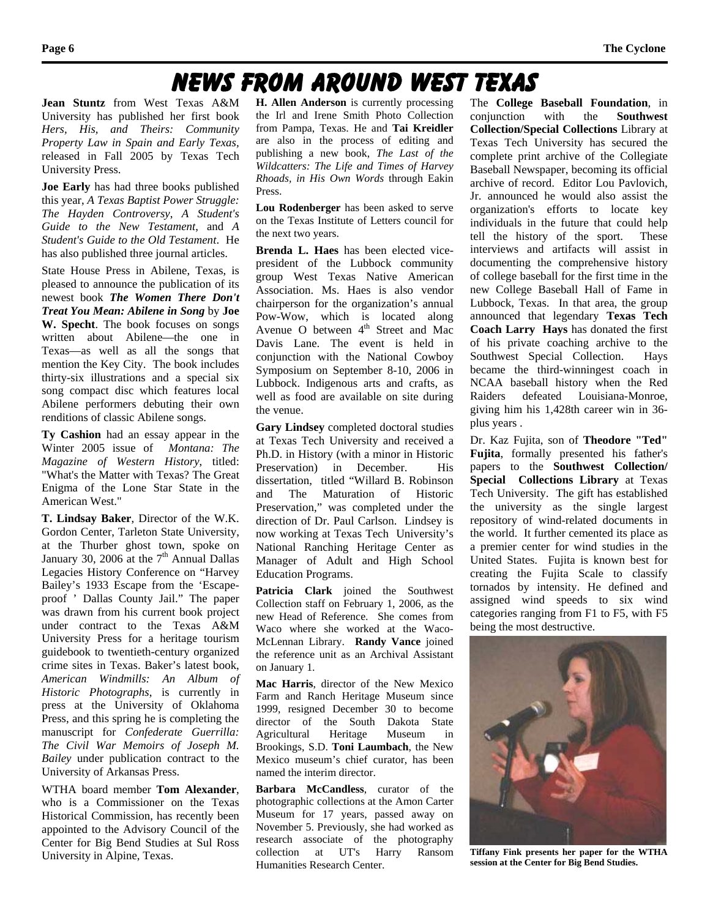### News From Around West Texas

**Jean Stuntz** from West Texas A&M University has published her first book *Hers, His, and Theirs: Community Property Law in Spain and Early Texas,*  released in Fall 2005 by Texas Tech University Press.

**Joe Early** has had three books published this year, *A Texas Baptist Power Struggle: The Hayden Controversy*, *A Student's Guide to the New Testament*, and *A Student's Guide to the Old Testament*. He has also published three journal articles.

State House Press in Abilene, Texas, is pleased to announce the publication of its newest book *The Women There Don't Treat You Mean: Abilene in Song* by **Joe W. Specht**. The book focuses on songs written about Abilene—the one in Texas—as well as all the songs that mention the Key City. The book includes thirty-six illustrations and a special six song compact disc which features local Abilene performers debuting their own renditions of classic Abilene songs.

**Ty Cashion** had an essay appear in the Winter 2005 issue of *Montana: The Magazine of Western History*, titled: "What's the Matter with Texas? The Great Enigma of the Lone Star State in the American West."

**T. Lindsay Baker**, Director of the W.K. Gordon Center, Tarleton State University, at the Thurber ghost town, spoke on January 30, 2006 at the  $7<sup>th</sup>$  Annual Dallas Legacies History Conference on "Harvey Bailey's 1933 Escape from the 'Escapeproof ' Dallas County Jail." The paper was drawn from his current book project under contract to the Texas A&M University Press for a heritage tourism guidebook to twentieth-century organized crime sites in Texas. Baker's latest book, *American Windmills: An Album of Historic Photographs*, is currently in press at the University of Oklahoma Press, and this spring he is completing the manuscript for *Confederate Guerrilla: The Civil War Memoirs of Joseph M. Bailey* under publication contract to the University of Arkansas Press.

WTHA board member **Tom Alexander**, who is a Commissioner on the Texas Historical Commission, has recently been appointed to the Advisory Council of the Center for Big Bend Studies at Sul Ross University in Alpine, Texas.

**H. Allen Anderson** is currently processing the Irl and Irene Smith Photo Collection from Pampa, Texas. He and **Tai Kreidler** are also in the process of editing and publishing a new book, *The Last of the Wildcatters: The Life and Times of Harvey Rhoads, in His Own Words* through Eakin Press.

**Lou Rodenberger** has been asked to serve on the Texas Institute of Letters council for the next two years.

**Brenda L. Haes** has been elected vicepresident of the Lubbock community group West Texas Native American Association. Ms. Haes is also vendor chairperson for the organization's annual Pow-Wow, which is located along Avenue O between  $4<sup>th</sup>$  Street and Mac Davis Lane. The event is held in conjunction with the National Cowboy Symposium on September 8-10, 2006 in Lubbock. Indigenous arts and crafts, as well as food are available on site during the venue.

**Gary Lindsey** completed doctoral studies at Texas Tech University and received a Ph.D. in History (with a minor in Historic Preservation) in December. His dissertation, titled "Willard B. Robinson and The Maturation of Historic Preservation," was completed under the direction of Dr. Paul Carlson. Lindsey is now working at Texas Tech University's National Ranching Heritage Center as Manager of Adult and High School Education Programs.

**Patricia Clark** joined the Southwest Collection staff on February 1, 2006, as the new Head of Reference. She comes from Waco where she worked at the Waco-McLennan Library. **Randy Vance** joined the reference unit as an Archival Assistant on January 1.

**Mac Harris**, director of the New Mexico Farm and Ranch Heritage Museum since 1999, resigned December 30 to become director of the South Dakota State Agricultural Heritage Museum in Brookings, S.D. **Toni Laumbach**, the New Mexico museum's chief curator, has been named the interim director.

**Barbara McCandless**, curator of the photographic collections at the Amon Carter Museum for 17 years, passed away on November 5. Previously, she had worked as research associate of the photography collection at UT's Harry Ransom Humanities Research Center.

The **College Baseball Foundation**, in conjunction with the **Southwest Collection/Special Collections** Library at Texas Tech University has secured the complete print archive of the Collegiate Baseball Newspaper, becoming its official archive of record. Editor Lou Pavlovich, Jr. announced he would also assist the organization's efforts to locate key individuals in the future that could help tell the history of the sport. These interviews and artifacts will assist in documenting the comprehensive history of college baseball for the first time in the new College Baseball Hall of Fame in Lubbock, Texas. In that area, the group announced that legendary **Texas Tech Coach Larry Hays** has donated the first of his private coaching archive to the Southwest Special Collection. Hays became the third-winningest coach in NCAA baseball history when the Red Raiders defeated Louisiana-Monroe, giving him his 1,428th career win in 36 plus years .

Dr. Kaz Fujita, son of **Theodore "Ted" Fujita**, formally presented his father's papers to the **Southwest Collection/ Special Collections Library** at Texas Tech University. The gift has established the university as the single largest repository of wind-related documents in the world. It further cemented its place as a premier center for wind studies in the United States. Fujita is known best for creating the Fujita Scale to classify tornados by intensity. He defined and assigned wind speeds to six wind categories ranging from F1 to F5, with F5 being the most destructive.



**Tiffany Fink presents her paper for the WTHA session at the Center for Big Bend Studies.**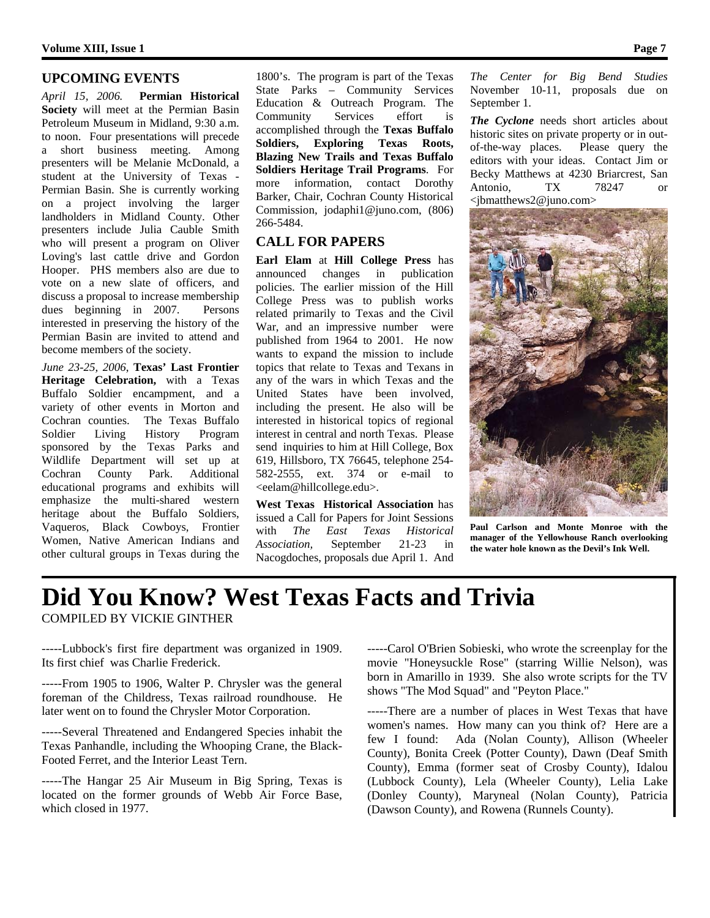#### **UPCOMING EVENTS**

*April 15, 2006.* **Permian Historical Society** will meet at the Permian Basin Petroleum Museum in Midland, 9:30 a.m. to noon. Four presentations will precede a short business meeting. Among presenters will be Melanie McDonald, a student at the University of Texas - Permian Basin. She is currently working on a project involving the larger landholders in Midland County. Other presenters include Julia Cauble Smith who will present a program on Oliver Loving's last cattle drive and Gordon Hooper. PHS members also are due to vote on a new slate of officers, and discuss a proposal to increase membership dues beginning in 2007. Persons interested in preserving the history of the Permian Basin are invited to attend and become members of the society.

*June 23-25, 2006*, **Texas' Last Frontier Heritage Celebration,** with a Texas Buffalo Soldier encampment, and a variety of other events in Morton and Cochran counties. The Texas Buffalo Soldier Living History Program sponsored by the Texas Parks and Wildlife Department will set up at Cochran County Park. Additional educational programs and exhibits will emphasize the multi-shared western heritage about the Buffalo Soldiers, Vaqueros, Black Cowboys, Frontier Women, Native American Indians and other cultural groups in Texas during the

1800's. The program is part of the Texas State Parks – Community Services Education & Outreach Program. The Community Services effort is accomplished through the **Texas Buffalo Soldiers, Exploring Texas Roots, Blazing New Trails and Texas Buffalo Soldiers Heritage Trail Programs**. For more information, contact Dorothy Barker, Chair, Cochran County Historical Commission, jodaphi1@juno.com, (806) 266-5484.

#### **CALL FOR PAPERS**

**Earl Elam** at **Hill College Press** has announced changes in publication policies. The earlier mission of the Hill College Press was to publish works related primarily to Texas and the Civil War, and an impressive number were published from 1964 to 2001. He now wants to expand the mission to include topics that relate to Texas and Texans in any of the wars in which Texas and the United States have been involved, including the present. He also will be interested in historical topics of regional interest in central and north Texas. Please send inquiries to him at Hill College, Box 619, Hillsboro, TX 76645, telephone 254- 582-2555, ext. 374 or e-mail to <eelam@hillcollege.edu>.

**West Texas Historical Association** has issued a Call for Papers for Joint Sessions with *The East Texas Historical Association,* September 21-23 in Nacogdoches, proposals due April 1. And

*The Center for Big Bend Studies* November 10-11, proposals due on September 1.

*The Cyclone* needs short articles about historic sites on private property or in outof-the-way places. Please query the editors with your ideas. Contact Jim or Becky Matthews at 4230 Briarcrest, San Antonio, TX 78247 or <jbmatthews2@juno.com>



**Paul Carlson and Monte Monroe with the manager of the Yellowhouse Ranch overlooking the water hole known as the Devil's Ink Well.** 

## **Did You Know? West Texas Facts and Trivia**  COMPILED BY VICKIE GINTHER

-----Lubbock's first fire department was organized in 1909. Its first chief was Charlie Frederick.

-----From 1905 to 1906, Walter P. Chrysler was the general foreman of the Childress, Texas railroad roundhouse. He later went on to found the Chrysler Motor Corporation.

-----Several Threatened and Endangered Species inhabit the Texas Panhandle, including the Whooping Crane, the Black-Footed Ferret, and the Interior Least Tern.

-----The Hangar 25 Air Museum in Big Spring, Texas is located on the former grounds of Webb Air Force Base, which closed in 1977.

-----Carol O'Brien Sobieski, who wrote the screenplay for the movie "Honeysuckle Rose" (starring Willie Nelson), was born in Amarillo in 1939. She also wrote scripts for the TV shows "The Mod Squad" and "Peyton Place."

-----There are a number of places in West Texas that have women's names. How many can you think of? Here are a few I found: Ada (Nolan County), Allison (Wheeler County), Bonita Creek (Potter County), Dawn (Deaf Smith County), Emma (former seat of Crosby County), Idalou (Lubbock County), Lela (Wheeler County), Lelia Lake (Donley County), Maryneal (Nolan County), Patricia (Dawson County), and Rowena (Runnels County).